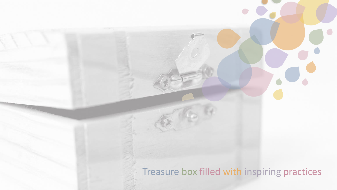Treasure box filled with inspiring practices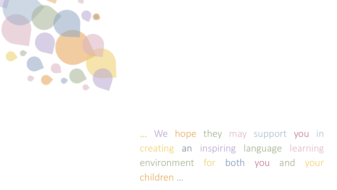

… We hope they may support you in creating an inspiring language learning environment for both you and your children …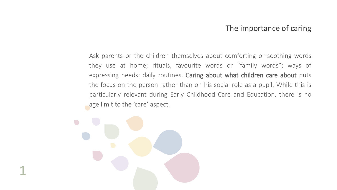### The importance of caring

Ask parents or the children themselves about comforting or soothing words they use at home; rituals, favourite words or "family words"; ways of expressing needs; daily routines. Caring about what children care about puts the focus on the person rather than on his social role as a pupil. While this is particularly relevant during Early Childhood Care and Education, there is no age limit to the 'care' aspect.

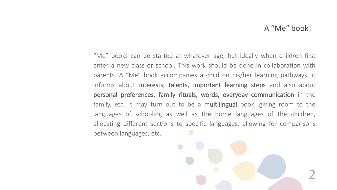### A "Me" book!

"Me" books can be started at whatever age, but ideally when children first enter a new class or school. This work should be done in collaboration with parents. A "Me" book accompanies a child on his/her learning pathways; it informs about interests, talents, important learning steps and also about personal preferences, family rituals, words, everyday communication in the family, etc. It may turn out to be a **multilingual** book, giving room to the languages of schooling as well as the home languages of the children, allocating different sections to specific languages, allowing for comparisons between languages, etc.

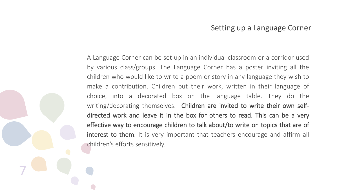## Setting up a Language Corner

A Language Corner can be set up in an individual classroom or a corridor used by various class/groups. The Language Corner has a poster inviting all the children who would like to write a poem or story in any language they wish to make a contribution. Children put their work, written in their language of choice, into a decorated box on the language table. They do the writing/decorating themselves. Children are invited to write their own selfdirected work and leave it in the box for others to read. This can be a very effective way to encourage children to talk about/to write on topics that are of **interest to them**. It is very important that teachers encourage and affirm all children's efforts sensitively.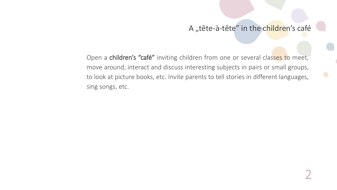# A "tête-à-tête" in the children's café

Open a children's "café" inviting children from one or several classes to meet, move around, interact and discuss interesting subjects in pairs or small groups, to look at picture books, etc. Invite parents to tell stories in different languages, sing songs, etc.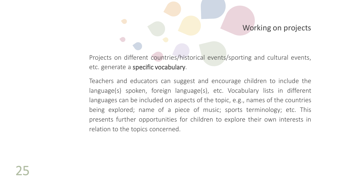Working on projects

Projects on different countries/historical events/sporting and cultural events, etc. generate a specific vocabulary.

Teachers and educators can suggest and encourage children to include the language(s) spoken, foreign language(s), etc. Vocabulary lists in different languages can be included on aspects of the topic, e.g., names of the countries being explored; name of a piece of music; sports terminology; etc. This presents further opportunities for children to explore their own interests in relation to the topics concerned.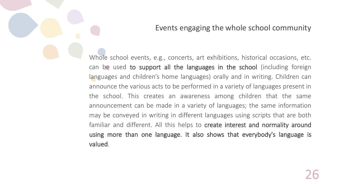## Events engaging the whole school community

Whole school events, e.g., concerts, art exhibitions, historical occasions, etc. can be used to support all the languages in the school (including foreign languages and children's home languages) orally and in writing. Children can announce the various acts to be performed in a variety of languages present in the school. This creates an awareness among children that the same announcement can be made in a variety of languages; the same information may be conveyed in writing in different languages using scripts that are both familiar and different. All this helps to create interest and normality around using more than one language. It also shows that everybody's language is valued.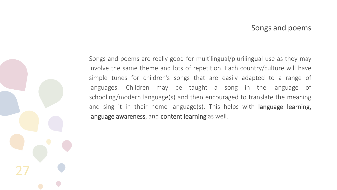#### Songs and poems

Songs and poems are really good for multilingual/plurilingual use as they may involve the same theme and lots of repetition. Each country/culture will have simple tunes for children's songs that are easily adapted to a range of languages. Children may be taught a song in the language of schooling/modern language(s) and then encouraged to translate the meaning and sing it in their home language(s). This helps with **language learning**, language awareness, and content learning as well.